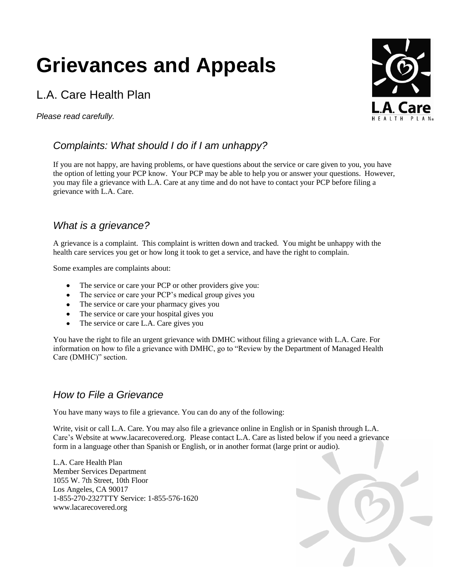# **Grievances and Appeals**

# L.A. Care Health Plan

*Please read carefully.*

## *Complaints: What should I do if I am unhappy?*

If you are not happy, are having problems, or have questions about the service or care given to you, you have the option of letting your PCP know. Your PCP may be able to help you or answer your questions. However, you may file a grievance with L.A. Care at any time and do not have to contact your PCP before filing a grievance with L.A. Care.

#### *What is a grievance?*

A grievance is a complaint. This complaint is written down and tracked. You might be unhappy with the health care services you get or how long it took to get a service, and have the right to complain.

Some examples are complaints about:

- The service or care your PCP or other providers give you:  $\bullet$
- The service or care your PCP's medical group gives you
- The service or care your pharmacy gives you
- The service or care your hospital gives you
- The service or care L.A. Care gives you

You have the right to file an urgent grievance with DMHC without filing a grievance with L.A. Care. For information on how to file a grievance with DMHC, go to "Review by the Department of Managed Health Care (DMHC)" section.

#### *How to File a Grievance*

You have many ways to file a grievance. You can do any of the following:

Write, visit or call L.A. Care. You may also file a grievance online in English or in Spanish through L.A. Care's Website at www.lacarecovered.org. Please contact L.A. Care as listed below if you need a grievance form in a language other than Spanish or English, or in another format (large print or audio).

L.A. Care Health Plan Member Services Department 1055 W. 7th Street, 10th Floor Los Angeles, CA 90017 1-855-270-2327TTY Service: 1-855-576-1620 www.lacarecovered.org



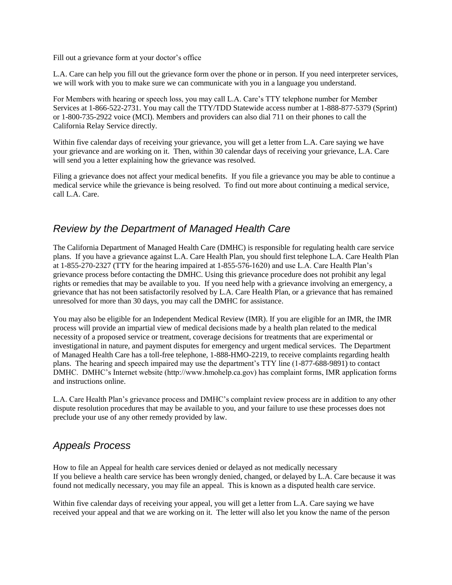Fill out a grievance form at your doctor's office

L.A. Care can help you fill out the grievance form over the phone or in person. If you need interpreter services, we will work with you to make sure we can communicate with you in a language you understand.

For Members with hearing or speech loss, you may call L.A. Care's TTY telephone number for Member Services at 1-866-522-2731. You may call the TTY/TDD Statewide access number at 1-888-877-5379 (Sprint) or 1-800-735-2922 voice (MCI). Members and providers can also dial 711 on their phones to call the California Relay Service directly.

Within five calendar days of receiving your grievance, you will get a letter from L.A. Care saying we have your grievance and are working on it. Then, within 30 calendar days of receiving your grievance, L.A. Care will send you a letter explaining how the grievance was resolved.

Filing a grievance does not affect your medical benefits. If you file a grievance you may be able to continue a medical service while the grievance is being resolved. To find out more about continuing a medical service, call L.A. Care.

#### *Review by the Department of Managed Health Care*

The California Department of Managed Health Care (DMHC) is responsible for regulating health care service plans. If you have a grievance against L.A. Care Health Plan, you should first telephone L.A. Care Health Plan at 1-855-270-2327 (TTY for the hearing impaired at 1-855-576-1620) and use L.A. Care Health Plan's grievance process before contacting the DMHC. Using this grievance procedure does not prohibit any legal rights or remedies that may be available to you. If you need help with a grievance involving an emergency, a grievance that has not been satisfactorily resolved by L.A. Care Health Plan, or a grievance that has remained unresolved for more than 30 days, you may call the DMHC for assistance.

You may also be eligible for an Independent Medical Review (IMR). If you are eligible for an IMR, the IMR process will provide an impartial view of medical decisions made by a health plan related to the medical necessity of a proposed service or treatment, coverage decisions for treatments that are experimental or investigational in nature, and payment disputes for emergency and urgent medical services. The Department of Managed Health Care has a toll-free telephone, 1-888-HMO-2219, to receive complaints regarding health plans. The hearing and speech impaired may use the department's TTY line (1-877-688-9891) to contact DMHC. DMHC's Internet website (http://www.hmohelp.ca.gov) has complaint forms, IMR application forms and instructions online.

L.A. Care Health Plan's grievance process and DMHC's complaint review process are in addition to any other dispute resolution procedures that may be available to you, and your failure to use these processes does not preclude your use of any other remedy provided by law.

### *Appeals Process*

How to file an Appeal for health care services denied or delayed as not medically necessary If you believe a health care service has been wrongly denied, changed, or delayed by L.A. Care because it was found not medically necessary, you may file an appeal. This is known as a disputed health care service.

Within five calendar days of receiving your appeal, you will get a letter from L.A. Care saying we have received your appeal and that we are working on it. The letter will also let you know the name of the person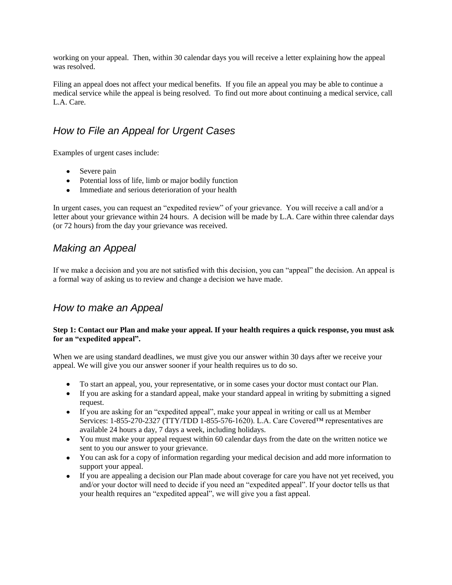working on your appeal. Then, within 30 calendar days you will receive a letter explaining how the appeal was resolved.

Filing an appeal does not affect your medical benefits. If you file an appeal you may be able to continue a medical service while the appeal is being resolved. To find out more about continuing a medical service, call L.A. Care.

### *How to File an Appeal for Urgent Cases*

Examples of urgent cases include:

- Severe pain
- Potential loss of life, limb or major bodily function
- Immediate and serious deterioration of your health

In urgent cases, you can request an "expedited review" of your grievance. You will receive a call and/or a letter about your grievance within 24 hours. A decision will be made by L.A. Care within three calendar days (or 72 hours) from the day your grievance was received.

#### *Making an Appeal*

If we make a decision and you are not satisfied with this decision, you can "appeal" the decision. An appeal is a formal way of asking us to review and change a decision we have made.

#### *How to make an Appeal*

#### **Step 1: Contact our Plan and make your appeal. If your health requires a quick response, you must ask for an "expedited appeal".**

When we are using standard deadlines, we must give you our answer within 30 days after we receive your appeal. We will give you our answer sooner if your health requires us to do so.

- To start an appeal, you, your representative, or in some cases your doctor must contact our Plan.
- If you are asking for a standard appeal, make your standard appeal in writing by submitting a signed request.
- If you are asking for an "expedited appeal", make your appeal in writing or call us at Member Services: 1-855-270-2327 (TTY/TDD 1-855-576-1620). L.A. Care Covered™ representatives are available 24 hours a day, 7 days a week, including holidays.
- You must make your appeal request within 60 calendar days from the date on the written notice we sent to you our answer to your grievance.
- You can ask for a copy of information regarding your medical decision and add more information to support your appeal.
- If you are appealing a decision our Plan made about coverage for care you have not yet received, you  $\bullet$ and/or your doctor will need to decide if you need an "expedited appeal". If your doctor tells us that your health requires an "expedited appeal", we will give you a fast appeal.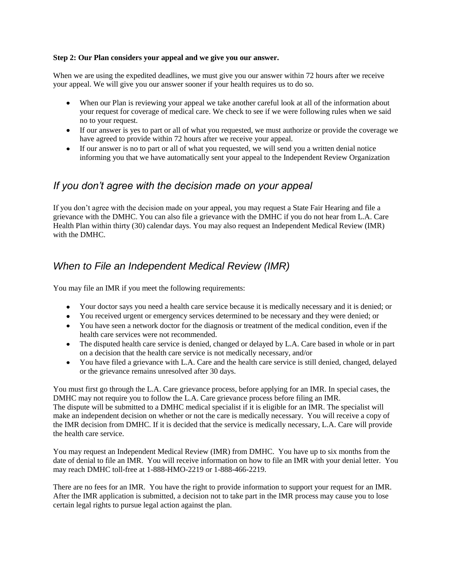#### **Step 2: Our Plan considers your appeal and we give you our answer.**

When we are using the expedited deadlines, we must give you our answer within 72 hours after we receive your appeal. We will give you our answer sooner if your health requires us to do so.

- When our Plan is reviewing your appeal we take another careful look at all of the information about your request for coverage of medical care. We check to see if we were following rules when we said no to your request.
- If our answer is yes to part or all of what you requested, we must authorize or provide the coverage we have agreed to provide within 72 hours after we receive your appeal.
- If our answer is no to part or all of what you requested, we will send you a written denial notice informing you that we have automatically sent your appeal to the Independent Review Organization

#### *If you don't agree with the decision made on your appeal*

If you don't agree with the decision made on your appeal, you may request a State Fair Hearing and file a grievance with the DMHC. You can also file a grievance with the DMHC if you do not hear from L.A. Care Health Plan within thirty (30) calendar days. You may also request an Independent Medical Review (IMR) with the DMHC.

#### *When to File an Independent Medical Review (IMR)*

You may file an IMR if you meet the following requirements:

- Your doctor says you need a health care service because it is medically necessary and it is denied; or
- You received urgent or emergency services determined to be necessary and they were denied; or
- You have seen a network doctor for the diagnosis or treatment of the medical condition, even if the health care services were not recommended.
- The disputed health care service is denied, changed or delayed by L.A. Care based in whole or in part on a decision that the health care service is not medically necessary, and/or
- You have filed a grievance with L.A. Care and the health care service is still denied, changed, delayed or the grievance remains unresolved after 30 days.

You must first go through the L.A. Care grievance process, before applying for an IMR. In special cases, the DMHC may not require you to follow the L.A. Care grievance process before filing an IMR. The dispute will be submitted to a DMHC medical specialist if it is eligible for an IMR. The specialist will make an independent decision on whether or not the care is medically necessary. You will receive a copy of the IMR decision from DMHC. If it is decided that the service is medically necessary, L.A. Care will provide the health care service.

You may request an Independent Medical Review (IMR) from DMHC. You have up to six months from the date of denial to file an IMR. You will receive information on how to file an IMR with your denial letter. You may reach DMHC toll-free at 1-888-HMO-2219 or 1-888-466-2219.

There are no fees for an IMR. You have the right to provide information to support your request for an IMR. After the IMR application is submitted, a decision not to take part in the IMR process may cause you to lose certain legal rights to pursue legal action against the plan.